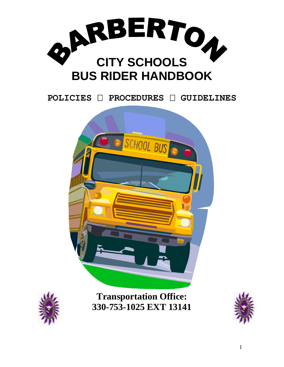

**POLICIES PROCEDURES GUIDELINES**





**Transportation Office: 330-753-1025 EXT 13141**

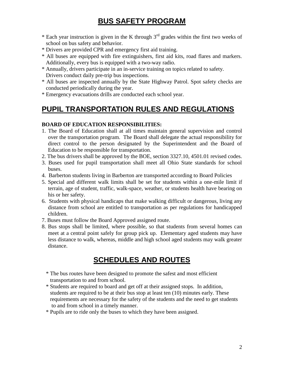## **BUS SAFETY PROGRAM**

- \* Each year instruction is given in the K through  $3<sup>rd</sup>$  grades within the first two weeks of school on bus safety and behavior.
- \* Drivers are provided CPR and emergency first aid training.
- \* All buses are equipped with fire extinguishers, first aid kits, road flares and markers. Additionally, every bus is equipped with a two-way radio.
- \* Annually, drivers participate in an in-service training on topics related to safety. Drivers conduct daily pre-trip bus inspections.
- \* All buses are inspected annually by the State Highway Patrol. Spot safety checks are conducted periodically during the year.
- \* Emergency evacuations drills are conducted each school year.

#### **PUPIL TRANSPORTATION RULES AND REGULATIONS**

#### **BOARD OF EDUCATION RESPONSIBILITIES:**

- 1. The Board of Education shall at all times maintain general supervision and control over the transportation program. The Board shall delegate the actual responsibility for direct control to the person designated by the Superintendent and the Board of Education to be responsible for transportation.
- 2. The bus drivers shall be approved by the BOE, section 3327.10, 4501.01 revised codes.
- 3. Buses used for pupil transportation shall meet all Ohio State standards for school buses.
- 4. Barberton students living in Barberton are transported according to Board Policies
- 5. Special and different walk limits shall be set for students within a one-mile limit if terrain, age of student, traffic, walk-space, weather, or students health have bearing on his or her safety.
- 6. Students with physical handicaps that make walking difficult or dangerous, living any distance from school are entitled to transportation as per regulations for handicapped children.
- 7. Buses must follow the Board Approved assigned route.
- 8. Bus stops shall be limited, where possible, so that students from several homes can meet at a central point safely for group pick up. Elementary aged students may have less distance to walk, whereas, middle and high school aged students may walk greater distance.

#### **SCHEDULES AND ROUTES**

- \* The bus routes have been designed to promote the safest and most efficient transportation to and from school.
- \* Students are required to board and get off at their assigned stops. In addition, students are required to be at their bus stop at least ten (10) minutes early. These requirements are necessary for the safety of the students and the need to get students to and from school in a timely manner.
- \* Pupils are to ride only the buses to which they have been assigned.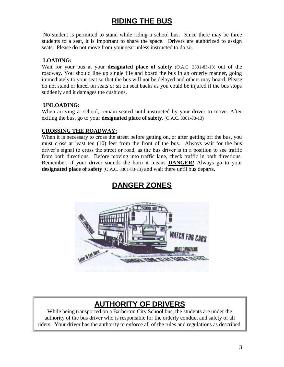## **RIDING THE BUS**

No student is permitted to stand while riding a school bus. Since there may be three students to a seat, it is important to share the space. Drivers are authorized to assign seats. Please do not move from your seat unless instructed to do so.

#### **LOADING:**

Wait for your bus at your **designated place of safety** (O.A.C. 3301-83-13) out of the roadway. You should line up single file and board the bus in an orderly manner, going immediately to your seat so that the bus will not be delayed and others may board. Please do not stand or kneel on seats or sit on seat backs as you could be injured if the bus stops suddenly and it damages the cushions.

#### **UNLOADING:**

When arriving at school, remain seated until instructed by your driver to move. After exiting the bus, go to your **designated place of safety**. (O.A.C. 3301-83-13)

#### **CROSSING THE ROADWAY:**

When it is necessary to cross the street before getting on, or after getting off the bus, you must cross at least ten (10) feet from the front of the bus. Always wait for the bus driver's signal to cross the street or road, as the bus driver is in a position to see traffic from both directions. Before moving into traffic lane, check traffic in both directions. Remember, if your driver sounds the horn it means **DANGER!** Always go to your **designated place of safety** (O.A.C. 3301-83-13) and wait there until bus departs.



#### **DANGER ZONES**

## **AUTHORITY OF DRIVERS**

While being transported on a Barberton City School bus, the students are under the authority of the bus driver who is responsible for the orderly conduct and safety of all riders. Your driver has the authority to enforce all of the rules and regulations as described.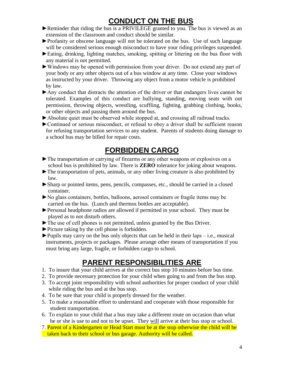## **CONDUCT ON THE BUS**

- ► Reminder that riding the bus is a PRIVILEGE granted to you. The bus is viewed as an extension of the classroom and conduct should be similar.
- ►Profanity or obscene language will not be tolerated on the bus. Use of such language will be considered serious enough misconduct to have your riding privileges suspended.
- ►Eating, drinking, lighting matches, smoking, spitting or littering on the bus floor with any material is not permitted.
- ►Windows may be opened with permission from your driver. Do not extend any part of your body or any other objects out of a bus window at any time. Close your windows as instructed by your driver. Throwing any object from a motor vehicle is prohibited by law.
- ►Any conduct that distracts the attention of the driver or that endangers lives cannot be tolerated. Examples of this conduct are bullying, standing, moving seats with out permission, throwing objects, wrestling, scuffling, fighting, grabbing clothing, books, or other objects and passing them around the bus.
- ►Absolute quiet must be observed while stopped at, and crossing all railroad tracks.
- ►Continued or serious misconduct, or refusal to obey a driver shall be sufficient reason for refusing transportation services to any student. Parents of students doing damage to a school bus may be billed for repair costs.

#### **FORBIDDEN CARGO**

- ►The transportation or carrying of firearms or any other weapons or explosives on a school bus is prohibited by law. There is **ZERO** tolerance for joking about weapons.
- ►The transportation of pets, animals, or any other living creature is also prohibited by law.
- ►Sharp or pointed items, pens, pencils, compasses, etc., should be carried in a closed container.
- ►No glass containers, bottles, balloons, aerosol containers or fragile items may be carried on the bus. (Lunch and thermos bottles are acceptable).
- ►Personal headphone radios are allowed if permitted in your school. They must be played as to not disturb others.
- ►The use of cell phones is not permitted, unless granted by the Bus Driver.
- ►Picture taking by the cell phone is forbidden.
- $\blacktriangleright$  Pupils may carry on the bus only objects that can be held in their laps i.e., musical instruments, projects or packages. Please arrange other means of transportation if you must bring any large, fragile, or forbidden cargo to school.

## **PARENT RESPONSIBILITIES ARE**

- 1. To insure that your child arrives at the correct bus stop 10 minutes before bus time.
- 2. To provide necessary protection for your child when going to and from the bus stop.
- 3. To accept joint responsibility with school authorities for proper conduct of your child while riding the bus and at the bus stop.
- 4. To be sure that your child is properly dressed for the weather.
- 5. To make a reasonable effort to understand and cooperate with those responsible for student transportation.
- 6. To explain to your child that a bus may take a different route on occasion than what he or she is use to and not to be upset. They will arrive at their bus stop or school.
- 7. Parent of a Kindergarten or Head Start must be at the stop otherwise the child will be taken back to their school or bus garage. Authority will be called.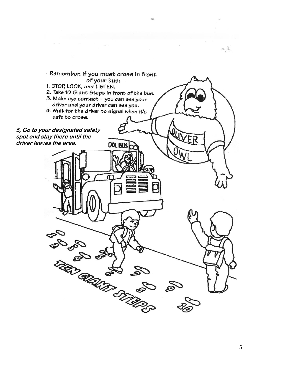